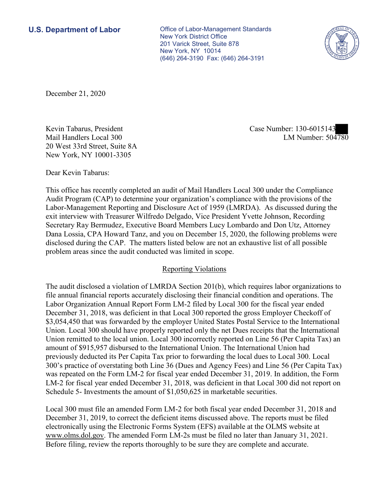New York, NY 10014 **U.S. Department of Labor Conservative Conservative Conservative Conservative Conservative Conservative Conservative Conservative Conservative Conservative Conservative Conservative Conservative Conservative Conservative** New York District Office 201 Varick Street, Suite 878 (646) 264-3190 Fax: (646) 264-3191



December 21, 2020

Kevin Tabarus, President Case Number: 130-6015143 Mail Handlers Local 300 20 West 33rd Street, Suite 8A New York, NY 10001-3305

LM Number:  $504780$ 

Dear Kevin Tabarus:

 This office has recently completed an audit of Mail Handlers Local 300 under the Compliance Secretary Ray Bermudez, Executive Board Members Lucy Lombardo and Don Utz, Attorney Audit Program (CAP) to determine your organization's compliance with the provisions of the Labor-Management Reporting and Disclosure Act of 1959 (LMRDA). As discussed during the exit interview with Treasurer Wilfredo Delgado, Vice President Yvette Johnson, Recording Dana Lossia, CPA Howard Tanz, and you on December 15, 2020, the following problems were disclosed during the CAP. The matters listed below are not an exhaustive list of all possible problem areas since the audit conducted was limited in scope.

## Reporting Violations

 Labor Organization Annual Report Form LM-2 filed by Local 300 for the fiscal year ended Union. Local 300 should have properly reported only the net Dues receipts that the International 300's practice of overstating both Line 36 (Dues and Agency Fees) and Line 56 (Per Capita Tax) was repeated on the Form LM-2 for fiscal year ended December 31, 2019. In addition, the Form LM-2 for fiscal year ended December 31, 2018, was deficient in that Local 300 did not report on The audit disclosed a violation of LMRDA Section 201(b), which requires labor organizations to file annual financial reports accurately disclosing their financial condition and operations. The December 31, 2018, was deficient in that Local 300 reported the gross Employer Checkoff of \$3,054,450 that was forwarded by the employer United States Postal Service to the International Union remitted to the local union. Local 300 incorrectly reported on Line 56 (Per Capita Tax) an amount of \$915,957 disbursed to the International Union. The International Union had previously deducted its Per Capita Tax prior to forwarding the local dues to Local 300. Local Schedule 5- Investments the amount of \$1,050,625 in marketable securities.

[www.olms.dol.gov.](www.olms.dol.gov) The amended Form LM-2s must be filed no later than January 31, 2021. Before filing, review the reports thoroughly to be sure they are complete and accurate. Local 300 must file an amended Form LM-2 for both fiscal year ended December 31, 2018 and December 31, 2019, to correct the deficient items discussed above. The reports must be filed electronically using the Electronic Forms System (EFS) available at the OLMS website at